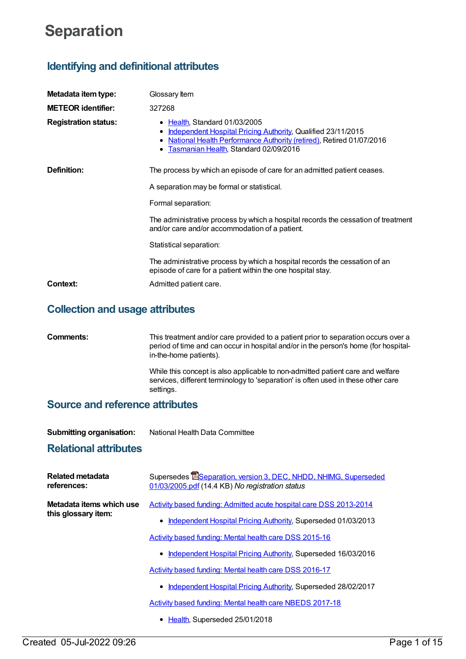# **Separation**

# **Identifying and definitional attributes**

| Metadata item type:         | Glossary Item                                                                                                                                                                                                       |
|-----------------------------|---------------------------------------------------------------------------------------------------------------------------------------------------------------------------------------------------------------------|
| <b>METEOR identifier:</b>   | 327268                                                                                                                                                                                                              |
| <b>Registration status:</b> | • Health, Standard 01/03/2005<br>• Independent Hospital Pricing Authority, Qualified 23/11/2015<br>• National Health Performance Authority (retired), Retired 01/07/2016<br>• Tasmanian Health, Standard 02/09/2016 |
| Definition:                 | The process by which an episode of care for an admitted patient ceases.                                                                                                                                             |
|                             | A separation may be formal or statistical.                                                                                                                                                                          |
|                             | Formal separation:                                                                                                                                                                                                  |
|                             | The administrative process by which a hospital records the cessation of treatment<br>and/or care and/or accommodation of a patient.                                                                                 |
|                             | Statistical separation:                                                                                                                                                                                             |
|                             | The administrative process by which a hospital records the cessation of an<br>episode of care for a patient within the one hospital stay.                                                                           |
| Context:                    | Admitted patient care.                                                                                                                                                                                              |

# **Collection and usage attributes**

| Comments: | This treatment and/or care provided to a patient prior to separation occurs over a                            |
|-----------|---------------------------------------------------------------------------------------------------------------|
|           | period of time and can occur in hospital and/or in the person's home (for hospital-<br>in-the-home patients). |
|           |                                                                                                               |

While this concept is also applicable to non-admitted patient care and welfare services, different terminology to 'separation' is often used in these other care settings.

### **Source and reference attributes**

| National Health Data Committee |
|--------------------------------|
|                                |

### **Relational attributes**

| Related metadata<br>references:                 | Supersedes <b>ESeparation, version 3, DEC, NHDD, NHIMG, Superseded</b><br>01/03/2005.pdf (14.4 KB) No registration status |
|-------------------------------------------------|---------------------------------------------------------------------------------------------------------------------------|
| Metadata items which use<br>this glossary item: | Activity based funding: Admitted acute hospital care DSS 2013-2014                                                        |
|                                                 | Independent Hospital Pricing Authority, Superseded 01/03/2013                                                             |
|                                                 | Activity based funding: Mental health care DSS 2015-16                                                                    |
|                                                 | Independent Hospital Pricing Authority, Superseded 16/03/2016                                                             |
|                                                 | Activity based funding: Mental health care DSS 2016-17                                                                    |
|                                                 | Independent Hospital Pricing Authority, Superseded 28/02/2017                                                             |
|                                                 | Activity based funding: Mental health care NBEDS 2017-18                                                                  |
|                                                 | • Health, Superseded 25/01/2018                                                                                           |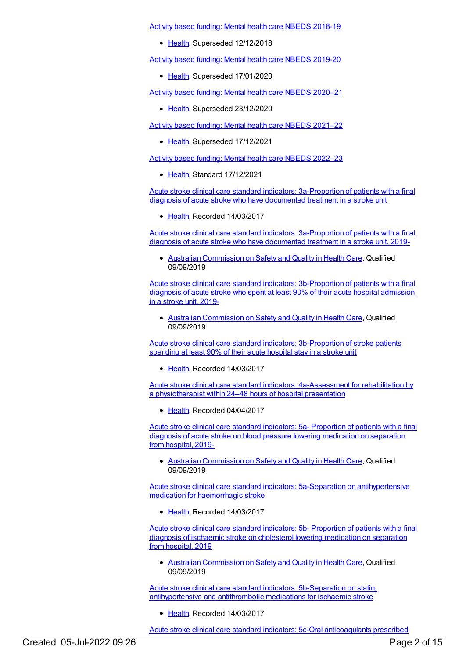Activity based funding: Mental health care NBEDS [2018-19](https://meteor.aihw.gov.au/content/676150)

• [Health](https://meteor.aihw.gov.au/RegistrationAuthority/12), Superseded 12/12/2018

Activity based funding: Mental health care NBEDS [2019-20](https://meteor.aihw.gov.au/content/699151)

• [Health](https://meteor.aihw.gov.au/RegistrationAuthority/12), Superseded 17/01/2020

Activity based funding: Mental health care NBEDS [2020–21](https://meteor.aihw.gov.au/content/715671)

• [Health](https://meteor.aihw.gov.au/RegistrationAuthority/12), Superseded 23/12/2020

Activity based funding: Mental health care NBEDS [2021–22](https://meteor.aihw.gov.au/content/735108)

• [Health](https://meteor.aihw.gov.au/RegistrationAuthority/12), Superseded 17/12/2021

Activity based funding: Mental health care NBEDS [2022–23](https://meteor.aihw.gov.au/content/742188)

• [Health](https://meteor.aihw.gov.au/RegistrationAuthority/12), Standard 17/12/2021

Acute stroke clinical care standard indicators: [3a-Proportion](https://meteor.aihw.gov.au/content/627765) of patients with a final diagnosis of acute stroke who have documented treatment in a stroke unit

• [Health](https://meteor.aihw.gov.au/RegistrationAuthority/12), Recorded 14/03/2017

Acute stroke clinical care standard indicators: [3a-Proportion](https://meteor.aihw.gov.au/content/719052) of patients with a final diagnosis of acute stroke who have documented treatment in a stroke unit, 2019-

• Australian [Commission](https://meteor.aihw.gov.au/RegistrationAuthority/18) on Safety and Quality in Health Care, Qualified 09/09/2019

Acute stroke clinical care standard indicators: [3b-Proportion](https://meteor.aihw.gov.au/content/719054) of patients with a final diagnosis of acute stroke who spent at least 90% of their acute hospital admission in a stroke unit, 2019-

• Australian [Commission](https://meteor.aihw.gov.au/RegistrationAuthority/18) on Safety and Quality in Health Care, Qualified 09/09/2019

Acute stroke clinical care standard indicators: [3b-Proportion](https://meteor.aihw.gov.au/content/627782) of stroke patients spending at least 90% of their acute hospital stay in a stroke unit

• [Health](https://meteor.aihw.gov.au/RegistrationAuthority/12), Recorded 14/03/2017

Acute stroke clinical care standard indicators: [4a-Assessment](https://meteor.aihw.gov.au/content/627792) for rehabilitation by a physiotherapist within 24–48 hours of hospital presentation

[Health](https://meteor.aihw.gov.au/RegistrationAuthority/12), Recorded 04/04/2017

Acute stroke clinical care standard indicators: 5a- Proportion of patients with a final diagnosis of acute stroke on blood pressure lowering [medication](https://meteor.aihw.gov.au/content/719060) on separation from hospital, 2019-

Australian [Commission](https://meteor.aihw.gov.au/RegistrationAuthority/18) on Safety and Quality in Health Care, Qualified 09/09/2019

Acute stroke clinical care standard indicators: 5a-Separation on [antihypertensive](https://meteor.aihw.gov.au/content/627806) medication for haemorrhagic stroke

• [Health](https://meteor.aihw.gov.au/RegistrationAuthority/12), Recorded 14/03/2017

Acute stroke clinical care standard indicators: 5b- Proportion of patients with a final diagnosis of ischaemic stroke on cholesterol lowering [medication](https://meteor.aihw.gov.au/content/719062) on separation from hospital, 2019

Australian [Commission](https://meteor.aihw.gov.au/RegistrationAuthority/18) on Safety and Quality in Health Care, Qualified 09/09/2019

Acute stroke clinical care standard indicators: [5b-Separation](https://meteor.aihw.gov.au/content/627809) on statin, antihypertensive and antithrombotic medications for ischaemic stroke

[Health](https://meteor.aihw.gov.au/RegistrationAuthority/12), Recorded 14/03/2017

Acute stroke clinical care standard indicators: 5c-Oral [anticoagulants](https://meteor.aihw.gov.au/content/627811) prescribed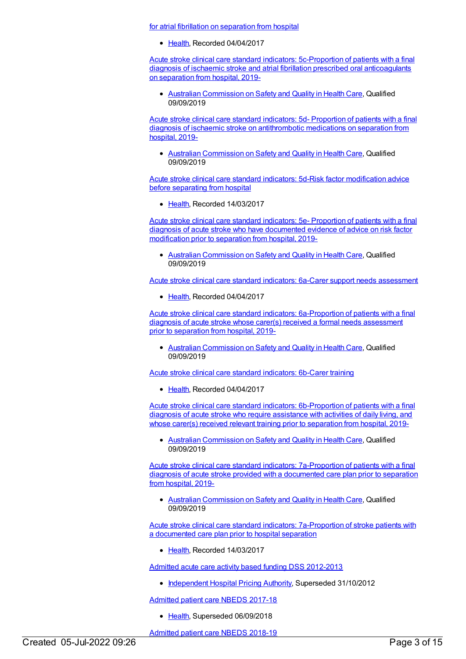for atrial fibrillation on separation from hospital

[Health](https://meteor.aihw.gov.au/RegistrationAuthority/12), Recorded 04/04/2017

Acute stroke clinical care standard indicators: 5c-Proportion of patients with a final diagnosis of ischaemic stroke and atrial fibrillation prescribed oral [anticoagulants](https://meteor.aihw.gov.au/content/719114) on separation from hospital, 2019-

Australian [Commission](https://meteor.aihw.gov.au/RegistrationAuthority/18) on Safety and Quality in Health Care, Qualified 09/09/2019

Acute stroke clinical care standard indicators: 5d- Proportion of patients with a final diagnosis of ischaemic stroke on [antithrombotic](https://meteor.aihw.gov.au/content/719116) medications on separation from hospital, 2019-

Australian [Commission](https://meteor.aihw.gov.au/RegistrationAuthority/18) on Safety and Quality in Health Care, Qualified 09/09/2019

Acute stroke clinical care standard indicators: 5d-Risk factor [modification](https://meteor.aihw.gov.au/content/627814) advice before separating from hospital

• [Health](https://meteor.aihw.gov.au/RegistrationAuthority/12), Recorded 14/03/2017

Acute stroke clinical care standard indicators: 5e- Proportion of patients with a final diagnosis of acute stroke who have [documented](https://meteor.aihw.gov.au/content/719066) evidence of advice on risk factor modification prior to separation from hospital, 2019-

Australian [Commission](https://meteor.aihw.gov.au/RegistrationAuthority/18) on Safety and Quality in Health Care, Qualified 09/09/2019

Acute stroke clinical care standard indicators: 6a-Carer support needs [assessment](https://meteor.aihw.gov.au/content/627819)

● [Health](https://meteor.aihw.gov.au/RegistrationAuthority/12), Recorded 04/04/2017

Acute stroke clinical care standard indicators: [6a-Proportion](https://meteor.aihw.gov.au/content/719068) of patients with a final diagnosis of acute stroke whose carer(s) received a formal needs assessment prior to separation from hospital, 2019-

• Australian [Commission](https://meteor.aihw.gov.au/RegistrationAuthority/18) on Safety and Quality in Health Care, Qualified 09/09/2019

Acute stroke clinical care standard [indicators:](https://meteor.aihw.gov.au/content/627821) 6b-Carer training

• [Health](https://meteor.aihw.gov.au/RegistrationAuthority/12), Recorded 04/04/2017

Acute stroke clinical care standard indicators: [6b-Proportion](https://meteor.aihw.gov.au/content/719070) of patients with a final diagnosis of acute stroke who require assistance with activities of daily living, and whose carer(s) received relevant training prior to separation from hospital, 2019-

Australian [Commission](https://meteor.aihw.gov.au/RegistrationAuthority/18) on Safety and Quality in Health Care, Qualified 09/09/2019

Acute stroke clinical care standard indicators: [7a-Proportion](https://meteor.aihw.gov.au/content/719120) of patients with a final diagnosis of acute stroke provided with a documented care plan prior to separation from hospital, 2019-

• Australian [Commission](https://meteor.aihw.gov.au/RegistrationAuthority/18) on Safety and Quality in Health Care, Qualified 09/09/2019

Acute stroke clinical care standard indicators: [7a-Proportion](https://meteor.aihw.gov.au/content/627823) of stroke patients with a documented care plan prior to hospital separation

[Health](https://meteor.aihw.gov.au/RegistrationAuthority/12), Recorded 14/03/2017

Admitted acute care activity based funding DSS [2012-2013](https://meteor.aihw.gov.au/content/478403)

• [Independent](https://meteor.aihw.gov.au/RegistrationAuthority/3) Hospital Pricing Authority, Superseded 31/10/2012

[Admitted](https://meteor.aihw.gov.au/content/682938) patient care NBEDS 2017-18

• [Health](https://meteor.aihw.gov.au/RegistrationAuthority/12), Superseded 06/09/2018

[Admitted](https://meteor.aihw.gov.au/content/690741) patient care NBEDS 2018-19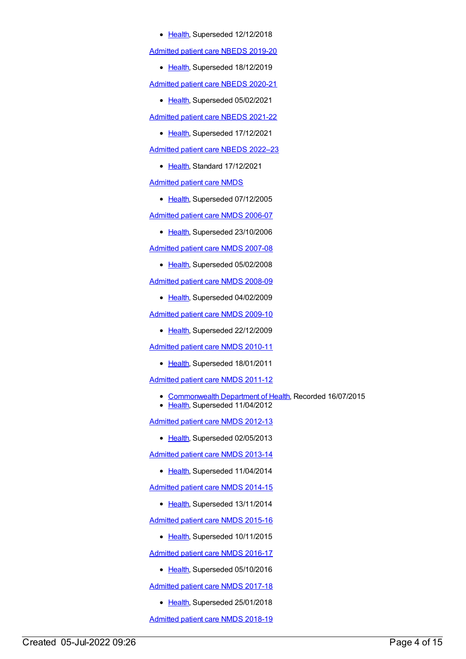• [Health](https://meteor.aihw.gov.au/RegistrationAuthority/12), Superseded 12/12/2018

[Admitted](https://meteor.aihw.gov.au/content/705869) patient care NBEDS 2019-20

• [Health](https://meteor.aihw.gov.au/RegistrationAuthority/12), Superseded 18/12/2019

[Admitted](https://meteor.aihw.gov.au/content/715998) patient care NBEDS 2020-21

• [Health](https://meteor.aihw.gov.au/RegistrationAuthority/12), Superseded 05/02/2021

[Admitted](https://meteor.aihw.gov.au/content/728441) patient care NBEDS 2021-22

- [Health](https://meteor.aihw.gov.au/RegistrationAuthority/12), Superseded 17/12/2021
- [Admitted](https://meteor.aihw.gov.au/content/742171) patient care NBEDS 2022–23
	- [Health](https://meteor.aihw.gov.au/RegistrationAuthority/12), Standard 17/12/2021

[Admitted](https://meteor.aihw.gov.au/content/273050) patient care NMDS

• [Health](https://meteor.aihw.gov.au/RegistrationAuthority/12), Superseded 07/12/2005

[Admitted](https://meteor.aihw.gov.au/content/334023) patient care NMDS 2006-07

• [Health](https://meteor.aihw.gov.au/RegistrationAuthority/12), Superseded 23/10/2006

[Admitted](https://meteor.aihw.gov.au/content/339089) patient care NMDS 2007-08

• [Health](https://meteor.aihw.gov.au/RegistrationAuthority/12), Superseded 05/02/2008

[Admitted](https://meteor.aihw.gov.au/content/361679) patient care NMDS 2008-09

• [Health](https://meteor.aihw.gov.au/RegistrationAuthority/12), Superseded 04/02/2009

[Admitted](https://meteor.aihw.gov.au/content/374205) patient care NMDS 2009-10

• [Health](https://meteor.aihw.gov.au/RegistrationAuthority/12), Superseded 22/12/2009

[Admitted](https://meteor.aihw.gov.au/content/386797) patient care NMDS 2010-11

• [Health](https://meteor.aihw.gov.au/RegistrationAuthority/12), Superseded 18/01/2011

[Admitted](https://meteor.aihw.gov.au/content/426861) patient care NMDS 2011-12

- [Commonwealth](https://meteor.aihw.gov.au/RegistrationAuthority/10) Department of Health, Recorded 16/07/2015
- [Health](https://meteor.aihw.gov.au/RegistrationAuthority/12), Superseded 11/04/2012

[Admitted](https://meteor.aihw.gov.au/content/466132) patient care NMDS 2012-13

• [Health](https://meteor.aihw.gov.au/RegistrationAuthority/12), Superseded 02/05/2013

[Admitted](https://meteor.aihw.gov.au/content/491555) patient care NMDS 2013-14

• [Health](https://meteor.aihw.gov.au/RegistrationAuthority/12), Superseded 11/04/2014

[Admitted](https://meteor.aihw.gov.au/content/535047) patient care NMDS 2014-15

• [Health](https://meteor.aihw.gov.au/RegistrationAuthority/12), Superseded 13/11/2014

[Admitted](https://meteor.aihw.gov.au/content/588909) patient care NMDS 2015-16

• [Health](https://meteor.aihw.gov.au/RegistrationAuthority/12), Superseded 10/11/2015

[Admitted](https://meteor.aihw.gov.au/content/612171) patient care NMDS 2016-17

• [Health](https://meteor.aihw.gov.au/RegistrationAuthority/12), Superseded 05/10/2016

[Admitted](https://meteor.aihw.gov.au/content/641349) patient care NMDS 2017-18

• [Health](https://meteor.aihw.gov.au/RegistrationAuthority/12), Superseded 25/01/2018

[Admitted](https://meteor.aihw.gov.au/content/676382) patient care NMDS 2018-19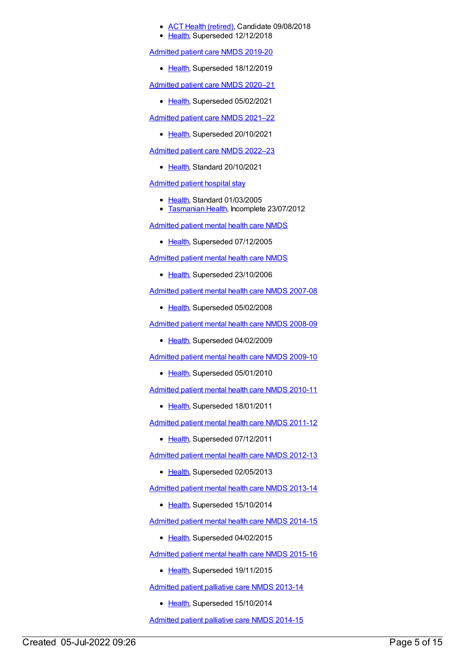- ACT Health [\(retired\)](https://meteor.aihw.gov.au/RegistrationAuthority/9), Candidate 09/08/2018
- [Health](https://meteor.aihw.gov.au/RegistrationAuthority/12), Superseded 12/12/2018

[Admitted](https://meteor.aihw.gov.au/content/699728) patient care NMDS 2019-20

• [Health](https://meteor.aihw.gov.au/RegistrationAuthority/12), Superseded 18/12/2019

[Admitted](https://meteor.aihw.gov.au/content/713850) patient care NMDS 2020–21

• [Health](https://meteor.aihw.gov.au/RegistrationAuthority/12), Superseded 05/02/2021

[Admitted](https://meteor.aihw.gov.au/content/728439) patient care NMDS 2021–22

• [Health](https://meteor.aihw.gov.au/RegistrationAuthority/12), Superseded 20/10/2021

[Admitted](https://meteor.aihw.gov.au/content/742173) patient care NMDS 2022–23

[Health](https://meteor.aihw.gov.au/RegistrationAuthority/12), Standard 20/10/2021

[Admitted](https://meteor.aihw.gov.au/content/268995) patient hospital stay

- [Health](https://meteor.aihw.gov.au/RegistrationAuthority/12), Standard 01/03/2005
- **[Tasmanian](https://meteor.aihw.gov.au/RegistrationAuthority/15) Health, Incomplete 23/07/2012**

[Admitted](https://meteor.aihw.gov.au/content/273048) patient mental health care NMDS

• [Health](https://meteor.aihw.gov.au/RegistrationAuthority/12), Superseded 07/12/2005

[Admitted](https://meteor.aihw.gov.au/content/334031) patient mental health care NMDS

• [Health](https://meteor.aihw.gov.au/RegistrationAuthority/12), Superseded 23/10/2006

[Admitted](https://meteor.aihw.gov.au/content/345110) patient mental health care NMDS 2007-08

• [Health](https://meteor.aihw.gov.au/RegistrationAuthority/12), Superseded 05/02/2008

[Admitted](https://meteor.aihw.gov.au/content/362305) patient mental health care NMDS 2008-09

• [Health](https://meteor.aihw.gov.au/RegistrationAuthority/12), Superseded 04/02/2009

[Admitted](https://meteor.aihw.gov.au/content/374207) patient mental health care NMDS 2009-10

• [Health](https://meteor.aihw.gov.au/RegistrationAuthority/12), Superseded 05/01/2010

[Admitted](https://meteor.aihw.gov.au/content/386799) patient mental health care NMDS 2010-11

• [Health](https://meteor.aihw.gov.au/RegistrationAuthority/12), Superseded 18/01/2011

[Admitted](https://meteor.aihw.gov.au/content/426872) patient mental health care NMDS 2011-12

• [Health](https://meteor.aihw.gov.au/RegistrationAuthority/12), Superseded 07/12/2011

[Admitted](https://meteor.aihw.gov.au/content/471383) patient mental health care NMDS 2012-13

• [Health](https://meteor.aihw.gov.au/RegistrationAuthority/12), Superseded 02/05/2013

[Admitted](https://meteor.aihw.gov.au/content/504646) patient mental health care NMDS 2013-14

• [Health](https://meteor.aihw.gov.au/RegistrationAuthority/12), Superseded 15/10/2014

[Admitted](https://meteor.aihw.gov.au/content/553164) patient mental health care NMDS 2014-15

• [Health](https://meteor.aihw.gov.au/RegistrationAuthority/12), Superseded 04/02/2015

[Admitted](https://meteor.aihw.gov.au/content/590510) patient mental health care NMDS 2015-16

• [Health](https://meteor.aihw.gov.au/RegistrationAuthority/12), Superseded 19/11/2015

[Admitted](https://meteor.aihw.gov.au/content/504641) patient palliative care NMDS 2013-14

• [Health](https://meteor.aihw.gov.au/RegistrationAuthority/12), Superseded 15/10/2014

[Admitted](https://meteor.aihw.gov.au/content/553212) patient palliative care NMDS 2014-15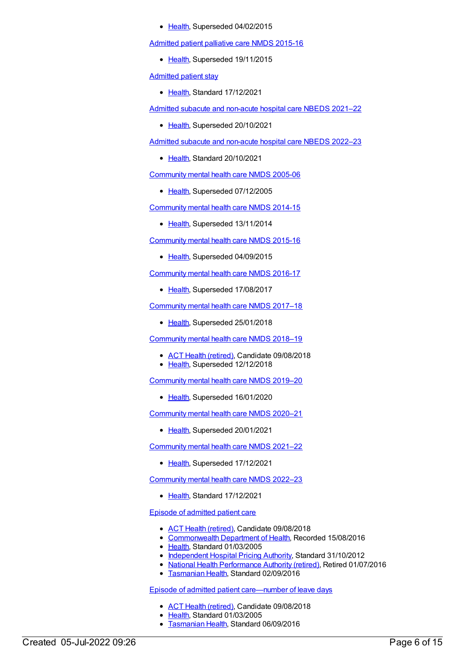#### • [Health](https://meteor.aihw.gov.au/RegistrationAuthority/12), Superseded 04/02/2015

#### [Admitted](https://meteor.aihw.gov.au/content/590512) patient palliative care NMDS 2015-16

• [Health](https://meteor.aihw.gov.au/RegistrationAuthority/12), Superseded 19/11/2015

[Admitted](https://meteor.aihw.gov.au/content/750462) patient stay

• [Health](https://meteor.aihw.gov.au/RegistrationAuthority/12), Standard 17/12/2021

Admitted subacute and [non-acute](https://meteor.aihw.gov.au/content/727327) hospital care NBEDS 2021–22

• [Health](https://meteor.aihw.gov.au/RegistrationAuthority/12), Superseded 20/10/2021

Admitted subacute and [non-acute](https://meteor.aihw.gov.au/content/742177) hospital care NBEDS 2022–23

• [Health](https://meteor.aihw.gov.au/RegistrationAuthority/12), Standard 20/10/2021

[Community](https://meteor.aihw.gov.au/content/285489) mental health care NMDS 2005-06

• [Health](https://meteor.aihw.gov.au/RegistrationAuthority/12), Superseded 07/12/2005

[Community](https://meteor.aihw.gov.au/content/549878) mental health care NMDS 2014-15

• [Health](https://meteor.aihw.gov.au/RegistrationAuthority/12), Superseded 13/11/2014

[Community](https://meteor.aihw.gov.au/content/565694) mental health care NMDS 2015-16

• [Health](https://meteor.aihw.gov.au/RegistrationAuthority/12), Superseded 04/09/2015

[Community](https://meteor.aihw.gov.au/content/608534) mental health care NMDS 2016-17

• [Health](https://meteor.aihw.gov.au/RegistrationAuthority/12), Superseded 17/08/2017

[Community](https://meteor.aihw.gov.au/content/645692) mental health care NMDS 2017–18

[Health](https://meteor.aihw.gov.au/RegistrationAuthority/12), Superseded 25/01/2018

[Community](https://meteor.aihw.gov.au/content/677802) mental health care NMDS 2018–19

- ACT Health [\(retired\)](https://meteor.aihw.gov.au/RegistrationAuthority/9), Candidate 09/08/2018
- [Health](https://meteor.aihw.gov.au/RegistrationAuthority/12), Superseded 12/12/2018

[Community](https://meteor.aihw.gov.au/content/699975) mental health care NMDS 2019–20

• [Health](https://meteor.aihw.gov.au/RegistrationAuthority/12), Superseded 16/01/2020

[Community](https://meteor.aihw.gov.au/content/722221) mental health care NMDS 2020–21

• [Health](https://meteor.aihw.gov.au/RegistrationAuthority/12), Superseded 20/01/2021

[Community](https://meteor.aihw.gov.au/content/727348) mental health care NMDS 2021–22

• [Health](https://meteor.aihw.gov.au/RegistrationAuthority/12), Superseded 17/12/2021

[Community](https://meteor.aihw.gov.au/content/742040) mental health care NMDS 2022–23

• [Health](https://meteor.aihw.gov.au/RegistrationAuthority/12), Standard 17/12/2021

Episode of [admitted](https://meteor.aihw.gov.au/content/268956) patient care

- ACT Health [\(retired\)](https://meteor.aihw.gov.au/RegistrationAuthority/9), Candidate 09/08/2018
- [Commonwealth](https://meteor.aihw.gov.au/RegistrationAuthority/10) Department of Health, Recorded 15/08/2016
- [Health](https://meteor.aihw.gov.au/RegistrationAuthority/12), Standard 01/03/2005
- [Independent](https://meteor.aihw.gov.au/RegistrationAuthority/3) Hospital Pricing Authority, Standard 31/10/2012
- National Health [Performance](https://meteor.aihw.gov.au/RegistrationAuthority/8) Authority (retired), Retired 01/07/2016
- **[Tasmanian](https://meteor.aihw.gov.au/RegistrationAuthority/15) Health, Standard 02/09/2016**

Episode of admitted patient [care—number](https://meteor.aihw.gov.au/content/269701) of leave days

- ACT Health [\(retired\)](https://meteor.aihw.gov.au/RegistrationAuthority/9), Candidate 09/08/2018
- [Health](https://meteor.aihw.gov.au/RegistrationAuthority/12), Standard 01/03/2005
- [Tasmanian](https://meteor.aihw.gov.au/RegistrationAuthority/15) Health, Standard 06/09/2016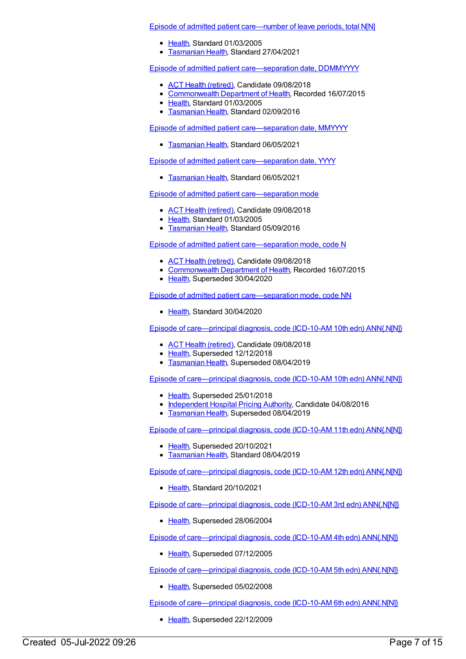Episode of admitted patient [care—number](https://meteor.aihw.gov.au/content/270058) of leave periods, total N[N]

- [Health](https://meteor.aihw.gov.au/RegistrationAuthority/12), Standard 01/03/2005
- **[Tasmanian](https://meteor.aihw.gov.au/RegistrationAuthority/15) Health, Standard 27/04/2021**

Episode of admitted patient [care—separation](https://meteor.aihw.gov.au/content/270025) date, DDMMYYYY

- ACT Health [\(retired\)](https://meteor.aihw.gov.au/RegistrationAuthority/9), Candidate 09/08/2018
- [Commonwealth](https://meteor.aihw.gov.au/RegistrationAuthority/10) Department of Health, Recorded 16/07/2015
- [Health](https://meteor.aihw.gov.au/RegistrationAuthority/12), Standard 01/03/2005
- **[Tasmanian](https://meteor.aihw.gov.au/RegistrationAuthority/15) Health, Standard 02/09/2016**

Episode of admitted patient [care—separation](https://meteor.aihw.gov.au/content/743743) date, MMYYYY

**[Tasmanian](https://meteor.aihw.gov.au/RegistrationAuthority/15) Health, Standard 06/05/2021** 

Episode of admitted patient [care—separation](https://meteor.aihw.gov.au/content/743741) date, YYYY

**• [Tasmanian](https://meteor.aihw.gov.au/RegistrationAuthority/15) Health, Standard 06/05/2021** 

Episode of admitted patient [care—separation](https://meteor.aihw.gov.au/content/269562) mode

- ACT Health [\(retired\)](https://meteor.aihw.gov.au/RegistrationAuthority/9), Candidate 09/08/2018
- [Health](https://meteor.aihw.gov.au/RegistrationAuthority/12), Standard 01/03/2005
- **[Tasmanian](https://meteor.aihw.gov.au/RegistrationAuthority/15) Health, Standard 05/09/2016**

Episode of admitted patient [care—separation](https://meteor.aihw.gov.au/content/270094) mode, code N

- ACT Health [\(retired\)](https://meteor.aihw.gov.au/RegistrationAuthority/9), Candidate 09/08/2018
- [Commonwealth](https://meteor.aihw.gov.au/RegistrationAuthority/10) Department of Health, Recorded 16/07/2015
- [Health](https://meteor.aihw.gov.au/RegistrationAuthority/12), Superseded 30/04/2020

Episode of admitted patient [care—separation](https://meteor.aihw.gov.au/content/722644) mode, code NN

• [Health](https://meteor.aihw.gov.au/RegistrationAuthority/12), Standard 30/04/2020

Episode of [care—principal](https://meteor.aihw.gov.au/content/680976) diagnosis, code (ICD-10-AM 10th edn) ANN{.N[N]}

- ACT Health [\(retired\)](https://meteor.aihw.gov.au/RegistrationAuthority/9), Candidate 09/08/2018
- [Health](https://meteor.aihw.gov.au/RegistrationAuthority/12), Superseded 12/12/2018
- **[Tasmanian](https://meteor.aihw.gov.au/RegistrationAuthority/15) Health, Superseded 08/04/2019**

Episode of [care—principal](https://meteor.aihw.gov.au/content/640978) diagnosis, code (ICD-10-AM 10th edn) ANN{.N[N]}

- [Health](https://meteor.aihw.gov.au/RegistrationAuthority/12), Superseded 25/01/2018
- [Independent](https://meteor.aihw.gov.au/RegistrationAuthority/3) Hospital Pricing Authority, Candidate 04/08/2016
- **[Tasmanian](https://meteor.aihw.gov.au/RegistrationAuthority/15) Health, Superseded 08/04/2019**

Episode of [care—principal](https://meteor.aihw.gov.au/content/699609) diagnosis, code (ICD-10-AM 11th edn) ANN{.N[N]}

- [Health](https://meteor.aihw.gov.au/RegistrationAuthority/12), Superseded 20/10/2021
- **[Tasmanian](https://meteor.aihw.gov.au/RegistrationAuthority/15) Health, Standard 08/04/2019**

Episode of [care—principal](https://meteor.aihw.gov.au/content/746665) diagnosis, code (ICD-10-AM 12th edn) ANN{.N[N]}

• [Health](https://meteor.aihw.gov.au/RegistrationAuthority/12), Standard 20/10/2021

Episode of [care—principal](https://meteor.aihw.gov.au/content/270187) diagnosis, code (ICD-10-AM 3rd edn) ANN{.N[N]}

• [Health](https://meteor.aihw.gov.au/RegistrationAuthority/12), Superseded 28/06/2004

Episode of [care—principal](https://meteor.aihw.gov.au/content/333836) diagnosis, code (ICD-10-AM 4th edn) ANN{.N[N]}

• [Health](https://meteor.aihw.gov.au/RegistrationAuthority/12), Superseded 07/12/2005

Episode of [care—principal](https://meteor.aihw.gov.au/content/333838) diagnosis, code (ICD-10-AM 5th edn) ANN{.N[N]}

• [Health](https://meteor.aihw.gov.au/RegistrationAuthority/12), Superseded 05/02/2008

Episode of [care—principal](https://meteor.aihw.gov.au/content/361034) diagnosis, code (ICD-10-AM 6th edn) ANN{.N[N]}

• [Health](https://meteor.aihw.gov.au/RegistrationAuthority/12), Superseded 22/12/2009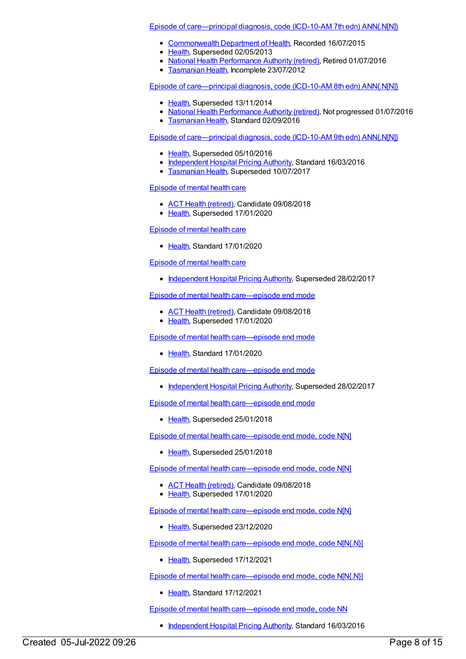Episode of [care—principal](https://meteor.aihw.gov.au/content/391326) diagnosis, code (ICD-10-AM 7th edn) ANN{.N[N]}

- [Commonwealth](https://meteor.aihw.gov.au/RegistrationAuthority/10) Department of Health, Recorded 16/07/2015
- [Health](https://meteor.aihw.gov.au/RegistrationAuthority/12), Superseded 02/05/2013
- National Health [Performance](https://meteor.aihw.gov.au/RegistrationAuthority/8) Authority (retired), Retired 01/07/2016
- **[Tasmanian](https://meteor.aihw.gov.au/RegistrationAuthority/15) Health, Incomplete 23/07/2012**

Episode of [care—principal](https://meteor.aihw.gov.au/content/514273) diagnosis, code (ICD-10-AM 8th edn) ANN{.N[N]}

- [Health](https://meteor.aihw.gov.au/RegistrationAuthority/12), Superseded 13/11/2014
- National Health [Performance](https://meteor.aihw.gov.au/RegistrationAuthority/8) Authority (retired), Not progressed 01/07/2016
- **[Tasmanian](https://meteor.aihw.gov.au/RegistrationAuthority/15) Health, Standard 02/09/2016**

Episode of [care—principal](https://meteor.aihw.gov.au/content/588987) diagnosis, code (ICD-10-AM 9th edn) ANN{.N[N]}

- [Health](https://meteor.aihw.gov.au/RegistrationAuthority/12), Superseded 05/10/2016
- [Independent](https://meteor.aihw.gov.au/RegistrationAuthority/3) Hospital Pricing Authority, Standard 16/03/2016
- [Tasmanian](https://meteor.aihw.gov.au/RegistrationAuthority/15) Health, Superseded 10/07/2017

#### [Episode](https://meteor.aihw.gov.au/content/653674) of mental health care

- ACT Health [\(retired\)](https://meteor.aihw.gov.au/RegistrationAuthority/9), Candidate 09/08/2018
- [Health](https://meteor.aihw.gov.au/RegistrationAuthority/12), Superseded 17/01/2020

#### [Episode](https://meteor.aihw.gov.au/content/722722) of mental health care

• [Health](https://meteor.aihw.gov.au/RegistrationAuthority/12), Standard 17/01/2020

#### [Episode](https://meteor.aihw.gov.au/content/617304) of mental health care

• [Independent](https://meteor.aihw.gov.au/RegistrationAuthority/3) Hospital Pricing Authority, Superseded 28/02/2017

Episode of mental health [care—episode](https://meteor.aihw.gov.au/content/684222) end mode

- ACT Health [\(retired\)](https://meteor.aihw.gov.au/RegistrationAuthority/9), Candidate 09/08/2018
- [Health](https://meteor.aihw.gov.au/RegistrationAuthority/12), Superseded 17/01/2020

Episode of mental health [care—episode](https://meteor.aihw.gov.au/content/723136) end mode

• [Health](https://meteor.aihw.gov.au/RegistrationAuthority/12), Standard 17/01/2020

Episode of mental health [care—episode](https://meteor.aihw.gov.au/content/614141) end mode

• [Independent](https://meteor.aihw.gov.au/RegistrationAuthority/3) Hospital Pricing Authority, Superseded 28/02/2017

Episode of mental health [care—episode](https://meteor.aihw.gov.au/content/653710) end mode

• [Health](https://meteor.aihw.gov.au/RegistrationAuthority/12), Superseded 25/01/2018

Episode of mental health [care—episode](https://meteor.aihw.gov.au/content/653716) end mode, code N[N]

[Health](https://meteor.aihw.gov.au/RegistrationAuthority/12), Superseded 25/01/2018

Episode of mental health [care—episode](https://meteor.aihw.gov.au/content/676234) end mode, code N[N]

- ACT Health [\(retired\)](https://meteor.aihw.gov.au/RegistrationAuthority/9), Candidate 09/08/2018
- [Health](https://meteor.aihw.gov.au/RegistrationAuthority/12), Superseded 17/01/2020

Episode of mental health [care—episode](https://meteor.aihw.gov.au/content/722597) end mode, code N[N]

• [Health](https://meteor.aihw.gov.au/RegistrationAuthority/12), Superseded 23/12/2020

Episode of mental health [care—episode](https://meteor.aihw.gov.au/content/730802) end mode, code N[N{.N}]

• [Health](https://meteor.aihw.gov.au/RegistrationAuthority/12), Superseded 17/12/2021

Episode of mental health [care—episode](https://meteor.aihw.gov.au/content/745660) end mode, code N[N{.N}]

• [Health](https://meteor.aihw.gov.au/RegistrationAuthority/12), Standard 17/12/2021

Episode of mental health [care—episode](https://meteor.aihw.gov.au/content/614146) end mode, code NN

• [Independent](https://meteor.aihw.gov.au/RegistrationAuthority/3) Hospital Pricing Authority, Standard 16/03/2016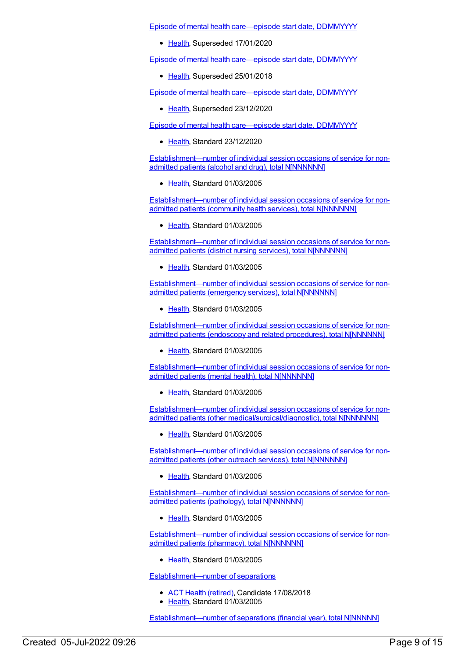Episode of mental health [care—episode](https://meteor.aihw.gov.au/content/680898) start date, DDMMYYYY

• [Health](https://meteor.aihw.gov.au/RegistrationAuthority/12), Superseded 17/01/2020

Episode of mental health [care—episode](https://meteor.aihw.gov.au/content/653738) start date, DDMMYYYY

• [Health](https://meteor.aihw.gov.au/RegistrationAuthority/12), Superseded 25/01/2018

Episode of mental health [care—episode](https://meteor.aihw.gov.au/content/722601) start date, DDMMYYYY

• [Health](https://meteor.aihw.gov.au/RegistrationAuthority/12), Superseded 23/12/2020

Episode of mental health [care—episode](https://meteor.aihw.gov.au/content/730809) start date, DDMMYYYY

• [Health](https://meteor.aihw.gov.au/RegistrationAuthority/12), Standard 23/12/2020

[Establishment—number](https://meteor.aihw.gov.au/content/270508) of individual session occasions of service for nonadmitted patients (alcohol and drug), total N[NNNNNN]

[Health](https://meteor.aihw.gov.au/RegistrationAuthority/12), Standard 01/03/2005

[Establishment—number](https://meteor.aihw.gov.au/content/270395) of individual session occasions of service for nonadmitted patients (community health services), total N[NNNNNN]

• [Health](https://meteor.aihw.gov.au/RegistrationAuthority/12), Standard 01/03/2005

[Establishment—number](https://meteor.aihw.gov.au/content/270512) of individual session occasions of service for nonadmitted patients (district nursing services), total N[NNNNNN]

• [Health](https://meteor.aihw.gov.au/RegistrationAuthority/12), Standard 01/03/2005

[Establishment—number](https://meteor.aihw.gov.au/content/270506) of individual session occasions of service for nonadmitted patients (emergency services), total N[NNNNNN]

• [Health](https://meteor.aihw.gov.au/RegistrationAuthority/12), Standard 01/03/2005

[Establishment—number](https://meteor.aihw.gov.au/content/270507) of individual session occasions of service for nonadmitted patients (endoscopy and related procedures), total NINNNNNNI

[Health](https://meteor.aihw.gov.au/RegistrationAuthority/12), Standard 01/03/2005

[Establishment—number](https://meteor.aihw.gov.au/content/270504) of individual session occasions of service for nonadmitted patients (mental health), total N[NNNNNN]

[Health](https://meteor.aihw.gov.au/RegistrationAuthority/12), Standard 01/03/2005

[Establishment—number](https://meteor.aihw.gov.au/content/270511) of individual session occasions of service for nonadmitted patients (other medical/surgical/diagnostic), total N[NNNNNN]

• [Health](https://meteor.aihw.gov.au/RegistrationAuthority/12), Standard 01/03/2005

[Establishment—number](https://meteor.aihw.gov.au/content/270514) of individual session occasions of service for nonadmitted patients (other outreach services), total N[NNNNNN]

• [Health](https://meteor.aihw.gov.au/RegistrationAuthority/12), Standard 01/03/2005

[Establishment—number](https://meteor.aihw.gov.au/content/270505) of individual session occasions of service for nonadmitted patients (pathology), total N[NNNNNN]

[Health](https://meteor.aihw.gov.au/RegistrationAuthority/12), Standard 01/03/2005

[Establishment—number](https://meteor.aihw.gov.au/content/270509) of individual session occasions of service for nonadmitted patients (pharmacy), total N[NNNNNN]

[Health](https://meteor.aihw.gov.au/RegistrationAuthority/12), Standard 01/03/2005

[Establishment—number](https://meteor.aihw.gov.au/content/269822) of separations

- ACT Health [\(retired\)](https://meteor.aihw.gov.au/RegistrationAuthority/9), Candidate 17/08/2018
- [Health](https://meteor.aihw.gov.au/RegistrationAuthority/12), Standard 01/03/2005

[Establishment—number](https://meteor.aihw.gov.au/content/270407) of separations (financial year), total N[NNNNN]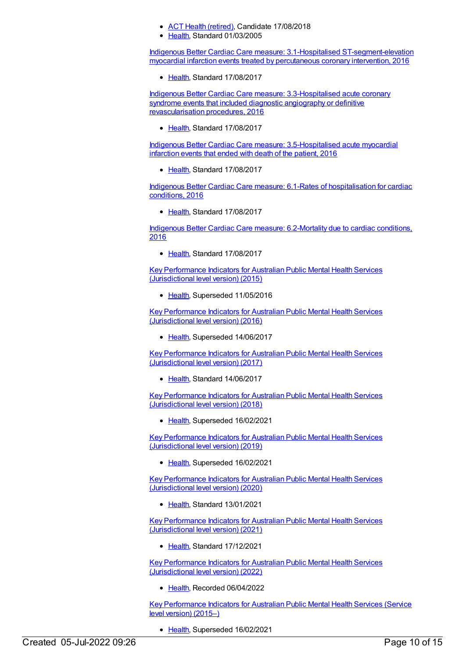- ACT Health [\(retired\)](https://meteor.aihw.gov.au/RegistrationAuthority/9), Candidate 17/08/2018
- [Health](https://meteor.aihw.gov.au/RegistrationAuthority/12), Standard 01/03/2005

Indigenous Better Cardiac Care measure: 3.1-Hospitalised [ST-segment-elevation](https://meteor.aihw.gov.au/content/657003) myocardial infarction events treated by percutaneous coronary intervention, 2016

• [Health](https://meteor.aihw.gov.au/RegistrationAuthority/12), Standard 17/08/2017

Indigenous Better Cardiac Care measure: [3.3-Hospitalised](https://meteor.aihw.gov.au/content/657007) acute coronary syndrome events that included diagnostic angiography or definitive revascularisation procedures, 2016

[Health](https://meteor.aihw.gov.au/RegistrationAuthority/12), Standard 17/08/2017

Indigenous Better Cardiac Care measure: [3.5-Hospitalised](https://meteor.aihw.gov.au/content/657036) acute myocardial infarction events that ended with death of the patient, 2016

• [Health](https://meteor.aihw.gov.au/RegistrationAuthority/12), Standard 17/08/2017

Indigenous Better Cardiac Care measure: 6.1-Rates of [hospitalisation](https://meteor.aihw.gov.au/content/657092) for cardiac conditions, 2016

• [Health](https://meteor.aihw.gov.au/RegistrationAuthority/12), Standard 17/08/2017

Indigenous Better Cardiac Care measure: [6.2-Mortality](https://meteor.aihw.gov.au/content/657115) due to cardiac conditions, 2016

• [Health](https://meteor.aihw.gov.au/RegistrationAuthority/12), Standard 17/08/2017

Key [Performance](https://meteor.aihw.gov.au/content/598178) Indicators for Australian Public Mental Health Services (Jurisdictional level version) (2015)

• [Health](https://meteor.aihw.gov.au/RegistrationAuthority/12), Superseded 11/05/2016

Key [Performance](https://meteor.aihw.gov.au/content/630262) Indicators for Australian Public Mental Health Services (Jurisdictional level version) (2016)

• [Health](https://meteor.aihw.gov.au/RegistrationAuthority/12), Superseded 14/06/2017

Key [Performance](https://meteor.aihw.gov.au/content/661511) Indicators for Australian Public Mental Health Services (Jurisdictional level version) (2017)

[Health](https://meteor.aihw.gov.au/RegistrationAuthority/12), Standard 14/06/2017

Key [Performance](https://meteor.aihw.gov.au/content/693022) Indicators for Australian Public Mental Health Services (Jurisdictional level version) (2018)

● [Health](https://meteor.aihw.gov.au/RegistrationAuthority/12), Superseded 16/02/2021

Key [Performance](https://meteor.aihw.gov.au/content/709378) Indicators for Australian Public Mental Health Services (Jurisdictional level version) (2019)

[Health](https://meteor.aihw.gov.au/RegistrationAuthority/12), Superseded 16/02/2021

Key [Performance](https://meteor.aihw.gov.au/content/720487) Indicators for Australian Public Mental Health Services (Jurisdictional level version) (2020)

• [Health](https://meteor.aihw.gov.au/RegistrationAuthority/12), Standard 13/01/2021

Key [Performance](https://meteor.aihw.gov.au/content/739864) Indicators for Australian Public Mental Health Services (Jurisdictional level version) (2021)

[Health](https://meteor.aihw.gov.au/RegistrationAuthority/12), Standard 17/12/2021

Key [Performance](https://meteor.aihw.gov.au/content/753231) Indicators for Australian Public Mental Health Services (Jurisdictional level version) (2022)

[Health](https://meteor.aihw.gov.au/RegistrationAuthority/12), Recorded 06/04/2022

Key [Performance](https://meteor.aihw.gov.au/content/598184) Indicators for Australian Public Mental Health Services (Service level version) (2015–)

• [Health](https://meteor.aihw.gov.au/RegistrationAuthority/12), Superseded 16/02/2021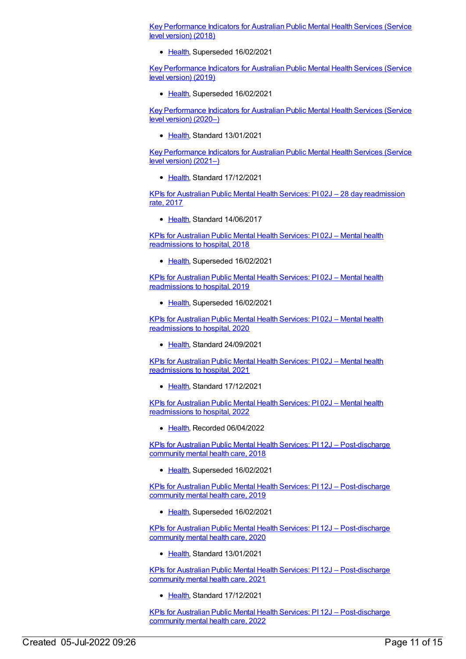Key [Performance](https://meteor.aihw.gov.au/content/693108) Indicators for Australian Public Mental Health Services (Service level version) (2018)

• [Health](https://meteor.aihw.gov.au/RegistrationAuthority/12), Superseded 16/02/2021

Key [Performance](https://meteor.aihw.gov.au/content/712066) Indicators for Australian Public Mental Health Services (Service level version) (2019)

• [Health](https://meteor.aihw.gov.au/RegistrationAuthority/12), Superseded 16/02/2021

Key [Performance](https://meteor.aihw.gov.au/content/720490) Indicators for Australian Public Mental Health Services (Service level version) (2020–)

• [Health](https://meteor.aihw.gov.au/RegistrationAuthority/12), Standard 13/01/2021

**Key [Performance](https://meteor.aihw.gov.au/content/742456) Indicators for Australian Public Mental Health Services (Service** level version) (2021–)

• [Health](https://meteor.aihw.gov.au/RegistrationAuthority/12), Standard 17/12/2021

KPIs for Australian Public Mental Health Services: PI 02J – 28 day [readmission](https://meteor.aihw.gov.au/content/663806) rate, 2017

[Health](https://meteor.aihw.gov.au/RegistrationAuthority/12), Standard 14/06/2017

KPIs for Australian Public Mental Health Services: PI 02J – Mental health [readmissions](https://meteor.aihw.gov.au/content/692976) to hospital, 2018

• [Health](https://meteor.aihw.gov.au/RegistrationAuthority/12), Superseded 16/02/2021

KPIs for Australian Public Mental Health Services: PI 02J – Mental health [readmissions](https://meteor.aihw.gov.au/content/709394) to hospital, 2019

• [Health](https://meteor.aihw.gov.au/RegistrationAuthority/12), Superseded 16/02/2021

KPIs for Australian Public Mental Health Services: PI 02J – Mental health [readmissions](https://meteor.aihw.gov.au/content/723381) to hospital, 2020

• [Health](https://meteor.aihw.gov.au/RegistrationAuthority/12), Standard 24/09/2021

KPIs for Australian Public Mental Health Services: PI 02J – Mental health [readmissions](https://meteor.aihw.gov.au/content/739871) to hospital, 2021

• [Health](https://meteor.aihw.gov.au/RegistrationAuthority/12), Standard 17/12/2021

KPIs for Australian Public Mental Health Services: PI 02J – Mental health [readmissions](https://meteor.aihw.gov.au/content/753238) to hospital, 2022

● [Health](https://meteor.aihw.gov.au/RegistrationAuthority/12), Recorded 06/04/2022

KPIs for Australian Public Mental Health Services: PI 12J – [Post-discharge](https://meteor.aihw.gov.au/content/692995) community mental health care, 2018

• [Health](https://meteor.aihw.gov.au/RegistrationAuthority/12), Superseded 16/02/2021

KPIs for Australian Public Mental Health Services: PI 12J – [Post-discharge](https://meteor.aihw.gov.au/content/709386) community mental health care, 2019

• [Health](https://meteor.aihw.gov.au/RegistrationAuthority/12), Superseded 16/02/2021

KPIs for Australian Public Mental Health Services: PI 12J – [Post-discharge](https://meteor.aihw.gov.au/content/723388) community mental health care, 2020

• [Health](https://meteor.aihw.gov.au/RegistrationAuthority/12), Standard 13/01/2021

KPIs for Australian Public Mental Health Services: PI 12J – [Post-discharge](https://meteor.aihw.gov.au/content/739895) community mental health care, 2021

• [Health](https://meteor.aihw.gov.au/RegistrationAuthority/12), Standard 17/12/2021

KPIs for Australian Public Mental Health Services: PI 12J – [Post-discharge](https://meteor.aihw.gov.au/content/753267) community mental health care, 2022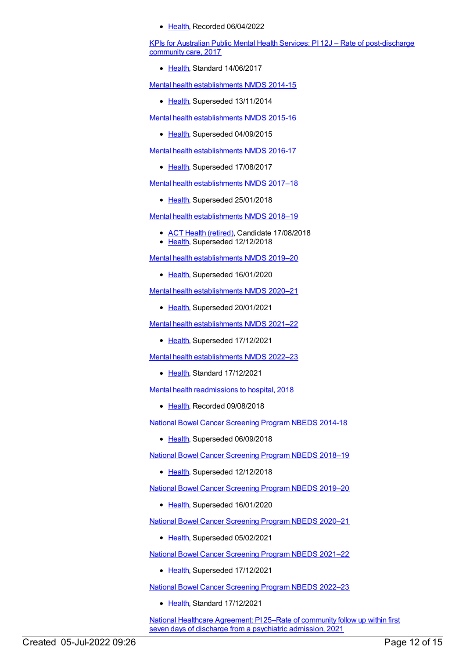[Health](https://meteor.aihw.gov.au/RegistrationAuthority/12), Recorded 06/04/2022

KPIs for Australian Public Mental Health Services: PI 12J – Rate of [post-discharge](https://meteor.aihw.gov.au/content/663838) community care, 2017

• [Health](https://meteor.aihw.gov.au/RegistrationAuthority/12), Standard 14/06/2017

Mental health [establishments](https://meteor.aihw.gov.au/content/546889) NMDS 2014-15

• [Health](https://meteor.aihw.gov.au/RegistrationAuthority/12), Superseded 13/11/2014

Mental health [establishments](https://meteor.aihw.gov.au/content/565661) NMDS 2015-16

• [Health](https://meteor.aihw.gov.au/RegistrationAuthority/12), Superseded 04/09/2015

Mental health [establishments](https://meteor.aihw.gov.au/content/605829) NMDS 2016-17

• [Health](https://meteor.aihw.gov.au/RegistrationAuthority/12), Superseded 17/08/2017

Mental health [establishments](https://meteor.aihw.gov.au/content/645723) NMDS 2017–18

• [Health](https://meteor.aihw.gov.au/RegistrationAuthority/12), Superseded 25/01/2018

Mental health [establishments](https://meteor.aihw.gov.au/content/677892) NMDS 2018–19

- ACT Health [\(retired\)](https://meteor.aihw.gov.au/RegistrationAuthority/9), Candidate 17/08/2018
- [Health](https://meteor.aihw.gov.au/RegistrationAuthority/12), Superseded 12/12/2018

Mental health [establishments](https://meteor.aihw.gov.au/content/707557) NMDS 2019–20

• [Health](https://meteor.aihw.gov.au/RegistrationAuthority/12), Superseded 16/01/2020

Mental health [establishments](https://meteor.aihw.gov.au/content/722168) NMDS 2020–21

• [Health](https://meteor.aihw.gov.au/RegistrationAuthority/12), Superseded 20/01/2021

Mental health [establishments](https://meteor.aihw.gov.au/content/727352) NMDS 2021–22

• [Health](https://meteor.aihw.gov.au/RegistrationAuthority/12), Superseded 17/12/2021

Mental health [establishments](https://meteor.aihw.gov.au/content/742046) NMDS 2022–23

• [Health](https://meteor.aihw.gov.au/RegistrationAuthority/12), Standard 17/12/2021

Mental health [readmissions](https://meteor.aihw.gov.au/content/697766) to hospital, 2018

• [Health](https://meteor.aihw.gov.au/RegistrationAuthority/12), Recorded 09/08/2018

National Bowel Cancer [Screening](https://meteor.aihw.gov.au/content/529201) Program NBEDS 2014-18

• [Health](https://meteor.aihw.gov.au/RegistrationAuthority/12), Superseded 06/09/2018

National Bowel Cancer [Screening](https://meteor.aihw.gov.au/content/694107) Program NBEDS 2018–19

• [Health](https://meteor.aihw.gov.au/RegistrationAuthority/12), Superseded 12/12/2018

National Bowel Cancer [Screening](https://meteor.aihw.gov.au/content/707481) Program NBEDS 2019–20

• [Health](https://meteor.aihw.gov.au/RegistrationAuthority/12), Superseded 16/01/2020

National Bowel Cancer [Screening](https://meteor.aihw.gov.au/content/715323) Program NBEDS 2020–21

• [Health](https://meteor.aihw.gov.au/RegistrationAuthority/12), Superseded 05/02/2021

National Bowel Cancer [Screening](https://meteor.aihw.gov.au/content/727407) Program NBEDS 2021–22

• [Health](https://meteor.aihw.gov.au/RegistrationAuthority/12), Superseded 17/12/2021

National Bowel Cancer [Screening](https://meteor.aihw.gov.au/content/742048) Program NBEDS 2022–23

• [Health](https://meteor.aihw.gov.au/RegistrationAuthority/12), Standard 17/12/2021

National Healthcare [Agreement:](https://meteor.aihw.gov.au/content/725773) PI 25–Rate of community follow up within first seven days of discharge from a psychiatric admission, 2021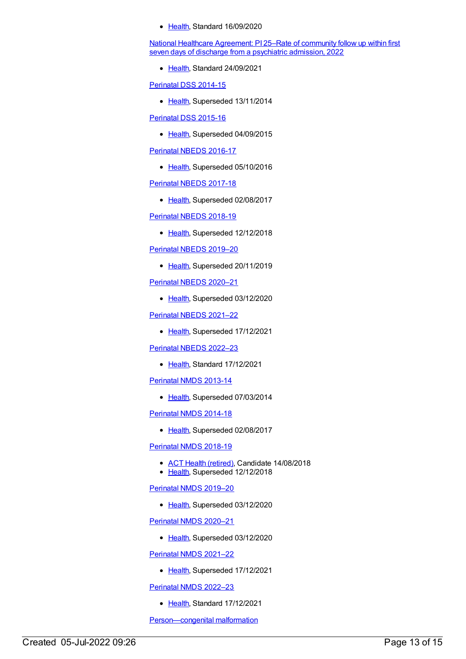• [Health](https://meteor.aihw.gov.au/RegistrationAuthority/12), Standard 16/09/2020

National Healthcare [Agreement:](https://meteor.aihw.gov.au/content/740828) PI 25–Rate of community follow up within first seven days of discharge from a psychiatric admission, 2022

• [Health](https://meteor.aihw.gov.au/RegistrationAuthority/12), Standard 24/09/2021

[Perinatal](https://meteor.aihw.gov.au/content/510127) DSS 2014-15

• [Health](https://meteor.aihw.gov.au/RegistrationAuthority/12), Superseded 13/11/2014

[Perinatal](https://meteor.aihw.gov.au/content/581388) DSS 2015-16

• [Health](https://meteor.aihw.gov.au/RegistrationAuthority/12), Superseded 04/09/2015

[Perinatal](https://meteor.aihw.gov.au/content/605250) NBEDS 2016-17

• [Health](https://meteor.aihw.gov.au/RegistrationAuthority/12), Superseded 05/10/2016

[Perinatal](https://meteor.aihw.gov.au/content/654975) NBEDS 2017-18

• [Health](https://meteor.aihw.gov.au/RegistrationAuthority/12), Superseded 02/08/2017

[Perinatal](https://meteor.aihw.gov.au/content/668809) NBEDS 2018-19

• [Health](https://meteor.aihw.gov.au/RegistrationAuthority/12), Superseded 12/12/2018

#### [Perinatal](https://meteor.aihw.gov.au/content/694991) NBEDS 2019–20

• [Health](https://meteor.aihw.gov.au/RegistrationAuthority/12), Superseded 20/11/2019

[Perinatal](https://meteor.aihw.gov.au/content/716067) NBEDS 2020–21

• [Health](https://meteor.aihw.gov.au/RegistrationAuthority/12), Superseded 03/12/2020

[Perinatal](https://meteor.aihw.gov.au/content/727295) NBEDS 2021–22

• [Health](https://meteor.aihw.gov.au/RegistrationAuthority/12), Superseded 17/12/2021

[Perinatal](https://meteor.aihw.gov.au/content/742055) NBEDS 2022–23

• [Health](https://meteor.aihw.gov.au/RegistrationAuthority/12), Standard 17/12/2021

[Perinatal](https://meteor.aihw.gov.au/content/489433) NMDS 2013-14

• [Health](https://meteor.aihw.gov.au/RegistrationAuthority/12), Superseded 07/03/2014

[Perinatal](https://meteor.aihw.gov.au/content/517456) NMDS 2014-18

• [Health](https://meteor.aihw.gov.au/RegistrationAuthority/12), Superseded 02/08/2017

[Perinatal](https://meteor.aihw.gov.au/content/668811) NMDS 2018-19

- ACT Health [\(retired\)](https://meteor.aihw.gov.au/RegistrationAuthority/9), Candidate 14/08/2018
- [Health](https://meteor.aihw.gov.au/RegistrationAuthority/12), Superseded 12/12/2018

[Perinatal](https://meteor.aihw.gov.au/content/694988) NMDS 2019–20

• [Health](https://meteor.aihw.gov.au/RegistrationAuthority/12), Superseded 03/12/2020

[Perinatal](https://meteor.aihw.gov.au/content/716081) NMDS 2020–21

• [Health](https://meteor.aihw.gov.au/RegistrationAuthority/12), Superseded 03/12/2020

[Perinatal](https://meteor.aihw.gov.au/content/727291) NMDS 2021–22

• [Health](https://meteor.aihw.gov.au/RegistrationAuthority/12), Superseded 17/12/2021

[Perinatal](https://meteor.aihw.gov.au/content/742052) NMDS 2022–23

• [Health](https://meteor.aihw.gov.au/RegistrationAuthority/12), Standard 17/12/2021

[Person—congenital](https://meteor.aihw.gov.au/content/269570) malformation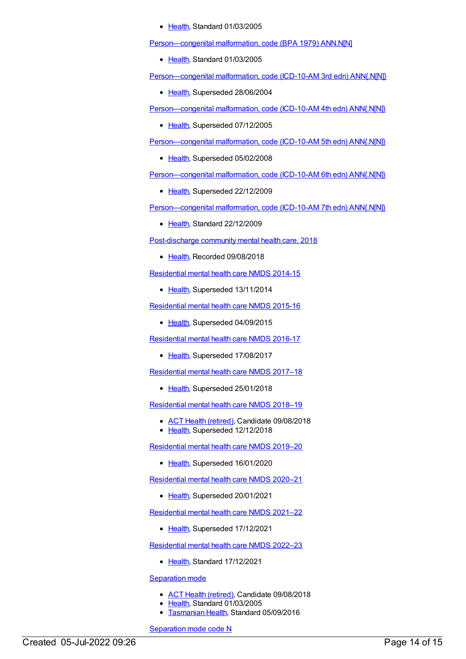#### [Health](https://meteor.aihw.gov.au/RegistrationAuthority/12), Standard 01/03/2005

[Person—congenital](https://meteor.aihw.gov.au/content/270408) malformation, code (BPA 1979) ANN.N[N]

• [Health](https://meteor.aihw.gov.au/RegistrationAuthority/12), Standard 01/03/2005

[Person—congenital](https://meteor.aihw.gov.au/content/270396) malformation, code (ICD-10-AM 3rd edn) ANN{.N[N]}

• [Health](https://meteor.aihw.gov.au/RegistrationAuthority/12), Superseded 28/06/2004

[Person—congenital](https://meteor.aihw.gov.au/content/333932) malformation, code (ICD-10-AM 4th edn) ANN{.N[N]}

• [Health](https://meteor.aihw.gov.au/RegistrationAuthority/12), Superseded 07/12/2005

[Person—congenital](https://meteor.aihw.gov.au/content/333934) malformation, code (ICD-10-AM 5th edn) ANN{.N[N]}

• [Health](https://meteor.aihw.gov.au/RegistrationAuthority/12), Superseded 05/02/2008

Person-congenital malformation, code (ICD-10-AM 6th edn) ANN{.N[N]}

• [Health](https://meteor.aihw.gov.au/RegistrationAuthority/12), Superseded 22/12/2009

[Person—congenital](https://meteor.aihw.gov.au/content/393436) malformation, code (ICD-10-AM 7th edn) ANN{.N[N]}

• [Health](https://meteor.aihw.gov.au/RegistrationAuthority/12), Standard 22/12/2009

[Post-discharge](https://meteor.aihw.gov.au/content/697072) community mental health care, 2018

• [Health](https://meteor.aihw.gov.au/RegistrationAuthority/12), Recorded 09/08/2018

[Residential](https://meteor.aihw.gov.au/content/525052) mental health care NMDS 2014-15

• [Health](https://meteor.aihw.gov.au/RegistrationAuthority/12), Superseded 13/11/2014

[Residential](https://meteor.aihw.gov.au/content/565678) mental health care NMDS 2015-16

[Health](https://meteor.aihw.gov.au/RegistrationAuthority/12), Superseded 04/09/2015

[Residential](https://meteor.aihw.gov.au/content/608539) mental health care NMDS 2016-17

• [Health](https://meteor.aihw.gov.au/RegistrationAuthority/12), Superseded 17/08/2017

[Residential](https://meteor.aihw.gov.au/content/645718) mental health care NMDS 2017–18

• [Health](https://meteor.aihw.gov.au/RegistrationAuthority/12), Superseded 25/01/2018

[Residential](https://meteor.aihw.gov.au/content/685927) mental health care NMDS 2018–19

- ACT Health [\(retired\)](https://meteor.aihw.gov.au/RegistrationAuthority/9), Candidate 09/08/2018
- [Health](https://meteor.aihw.gov.au/RegistrationAuthority/12), Superseded 12/12/2018

[Residential](https://meteor.aihw.gov.au/content/707512) mental health care NMDS 2019–20

• [Health](https://meteor.aihw.gov.au/RegistrationAuthority/12), Superseded 16/01/2020

[Residential](https://meteor.aihw.gov.au/content/722224) mental health care NMDS 2020–21

• [Health](https://meteor.aihw.gov.au/RegistrationAuthority/12), Superseded 20/01/2021

[Residential](https://meteor.aihw.gov.au/content/727354) mental health care NMDS 2021–22

• [Health](https://meteor.aihw.gov.au/RegistrationAuthority/12), Superseded 17/12/2021

[Residential](https://meteor.aihw.gov.au/content/742165) mental health care NMDS 2022–23

• [Health](https://meteor.aihw.gov.au/RegistrationAuthority/12), Standard 17/12/2021

[Separation](https://meteor.aihw.gov.au/content/269121) mode

- ACT Health [\(retired\)](https://meteor.aihw.gov.au/RegistrationAuthority/9), Candidate 09/08/2018
- [Health](https://meteor.aihw.gov.au/RegistrationAuthority/12), Standard 01/03/2005
- [Tasmanian](https://meteor.aihw.gov.au/RegistrationAuthority/15) Health, Standard 05/09/2016

[Separation](https://meteor.aihw.gov.au/content/270688) mode code N